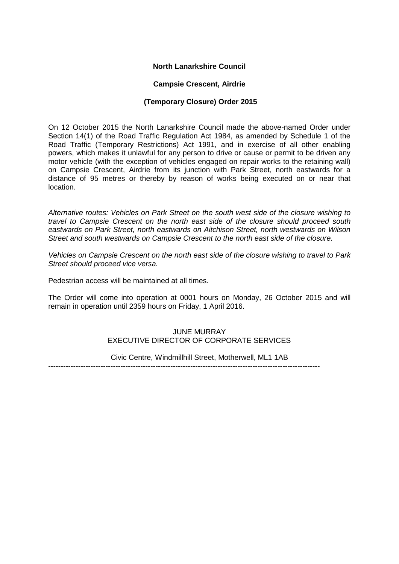# **North Lanarkshire Council**

#### **Campsie Crescent, Airdrie**

## **(Temporary Closure) Order 2015**

On 12 October 2015 the North Lanarkshire Council made the above-named Order under Section 14(1) of the Road Traffic Regulation Act 1984, as amended by Schedule 1 of the Road Traffic (Temporary Restrictions) Act 1991, and in exercise of all other enabling powers, which makes it unlawful for any person to drive or cause or permit to be driven any motor vehicle (with the exception of vehicles engaged on repair works to the retaining wall) on Campsie Crescent, Airdrie from its junction with Park Street, north eastwards for a distance of 95 metres or thereby by reason of works being executed on or near that location.

*Alternative routes: Vehicles on Park Street on the south west side of the closure wishing to travel to Campsie Crescent on the north east side of the closure should proceed south eastwards on Park Street, north eastwards on Aitchison Street, north westwards on Wilson Street and south westwards on Campsie Crescent to the north east side of the closure.*

*Vehicles on Campsie Crescent on the north east side of the closure wishing to travel to Park Street should proceed vice versa.*

Pedestrian access will be maintained at all times.

The Order will come into operation at 0001 hours on Monday, 26 October 2015 and will remain in operation until 2359 hours on Friday, 1 April 2016.

## JUNE MURRAY EXECUTIVE DIRECTOR OF CORPORATE SERVICES

Civic Centre, Windmillhill Street, Motherwell, ML1 1AB

-------------------------------------------------------------------------------------------------------------